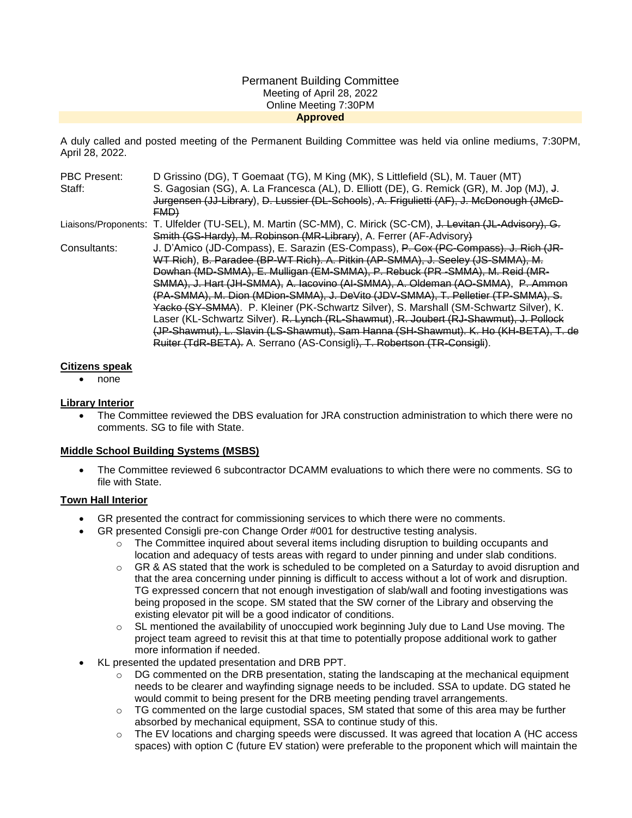#### Permanent Building Committee Meeting of April 28, 2022 Online Meeting 7:30PM **Approved**

A duly called and posted meeting of the Permanent Building Committee was held via online mediums, 7:30PM, April 28, 2022.

| <b>PBC Present:</b> | D Grissino (DG), T Goemaat (TG), M King (MK), S Littlefield (SL), M. Tauer (MT)                               |
|---------------------|---------------------------------------------------------------------------------------------------------------|
| Staff:              | S. Gagosian (SG), A. La Francesca (AL), D. Elliott (DE), G. Remick (GR), M. Jop (MJ), J.                      |
|                     | Jurgensen (JJ-Library), D. Lussier (DL-Schools), A. Frigulietti (AF), J. McDonough (JMcD-                     |
|                     | FMD                                                                                                           |
|                     | Liaisons/Proponents: T. Ulfelder (TU-SEL), M. Martin (SC-MM), C. Mirick (SC-CM), J. Levitan (JL-Advisory), G. |
|                     | Smith (GS-Hardy), M. Robinson (MR-Library), A. Ferrer (AF-Advisory)                                           |
| Consultants:        | J. D'Amico (JD-Compass), E. Sarazin (ES-Compass), P. Cox (PC-Compass). J. Rich (JR-                           |
|                     | WT Rich), B. Paradee (BP-WT Rich). A. Pitkin (AP-SMMA), J. Seeley (JS-SMMA), M.                               |
|                     | Dowhan (MD-SMMA), E. Mulligan (EM-SMMA), P. Rebuck (PR -SMMA), M. Reid (MR-                                   |
|                     | SMMA), J. Hart (JH-SMMA), A. Iacovino (AI-SMMA), A. Oldeman (AO-SMMA), P. Ammon                               |
|                     | (PA-SMMA), M. Dion (MDion-SMMA), J. DeVito (JDV-SMMA), T. Pelletier (TP-SMMA), S.                             |
|                     | Yacko (SY-SMMA). P. Kleiner (PK-Schwartz Silver), S. Marshall (SM-Schwartz Silver), K.                        |
|                     | Laser (KL-Schwartz Silver). R. Lynch (RL-Shawmut), R. Joubert (RJ-Shawmut), J. Pollock                        |
|                     | (JP-Shawmut), L. Slavin (LS-Shawmut), Sam Hanna (SH-Shawmut). K. Ho (KH-BETA), T. de                          |
|                     | Ruiter (TdR-BETA). A. Serrano (AS-Consigli), T. Robertson (TR-Consigli).                                      |

#### **Citizens speak**

• none

## **Library Interior**

 The Committee reviewed the DBS evaluation for JRA construction administration to which there were no comments. SG to file with State.

## **Middle School Building Systems (MSBS)**

 The Committee reviewed 6 subcontractor DCAMM evaluations to which there were no comments. SG to file with State.

## **Town Hall Interior**

- GR presented the contract for commissioning services to which there were no comments.
- GR presented Consigli pre-con Change Order #001 for destructive testing analysis.
	- $\circ$  The Committee inquired about several items including disruption to building occupants and location and adequacy of tests areas with regard to under pinning and under slab conditions.
	- $\circ$  GR & AS stated that the work is scheduled to be completed on a Saturday to avoid disruption and that the area concerning under pinning is difficult to access without a lot of work and disruption. TG expressed concern that not enough investigation of slab/wall and footing investigations was being proposed in the scope. SM stated that the SW corner of the Library and observing the existing elevator pit will be a good indicator of conditions.
	- SL mentioned the availability of unoccupied work beginning July due to Land Use moving. The project team agreed to revisit this at that time to potentially propose additional work to gather more information if needed.
- KL presented the updated presentation and DRB PPT.
	- DG commented on the DRB presentation, stating the landscaping at the mechanical equipment needs to be clearer and wayfinding signage needs to be included. SSA to update. DG stated he would commit to being present for the DRB meeting pending travel arrangements.
	- o TG commented on the large custodial spaces, SM stated that some of this area may be further absorbed by mechanical equipment, SSA to continue study of this.
	- $\circ$  The EV locations and charging speeds were discussed. It was agreed that location A (HC access spaces) with option C (future EV station) were preferable to the proponent which will maintain the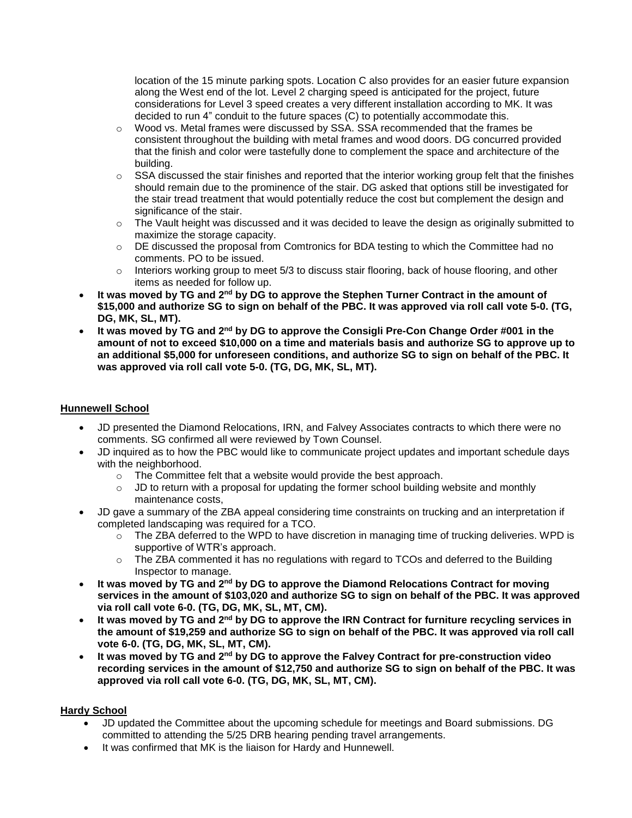location of the 15 minute parking spots. Location C also provides for an easier future expansion along the West end of the lot. Level 2 charging speed is anticipated for the project, future considerations for Level 3 speed creates a very different installation according to MK. It was decided to run 4" conduit to the future spaces (C) to potentially accommodate this.

- Wood vs. Metal frames were discussed by SSA, SSA recommended that the frames be consistent throughout the building with metal frames and wood doors. DG concurred provided that the finish and color were tastefully done to complement the space and architecture of the building.
- o SSA discussed the stair finishes and reported that the interior working group felt that the finishes should remain due to the prominence of the stair. DG asked that options still be investigated for the stair tread treatment that would potentially reduce the cost but complement the design and significance of the stair.
- $\circ$  The Vault height was discussed and it was decided to leave the design as originally submitted to maximize the storage capacity.
- $\circ$  DE discussed the proposal from Comtronics for BDA testing to which the Committee had no comments. PO to be issued.
- $\circ$  Interiors working group to meet 5/3 to discuss stair flooring, back of house flooring, and other items as needed for follow up.
- **It was moved by TG and 2nd by DG to approve the Stephen Turner Contract in the amount of \$15,000 and authorize SG to sign on behalf of the PBC. It was approved via roll call vote 5-0. (TG, DG, MK, SL, MT).**
- **It was moved by TG and 2nd by DG to approve the Consigli Pre-Con Change Order #001 in the amount of not to exceed \$10,000 on a time and materials basis and authorize SG to approve up to an additional \$5,000 for unforeseen conditions, and authorize SG to sign on behalf of the PBC. It was approved via roll call vote 5-0. (TG, DG, MK, SL, MT).**

## **Hunnewell School**

- JD presented the Diamond Relocations, IRN, and Falvey Associates contracts to which there were no comments. SG confirmed all were reviewed by Town Counsel.
- JD inquired as to how the PBC would like to communicate project updates and important schedule days with the neighborhood.
	- o The Committee felt that a website would provide the best approach.
	- $\circ$  JD to return with a proposal for updating the former school building website and monthly maintenance costs,
- JD gave a summary of the ZBA appeal considering time constraints on trucking and an interpretation if completed landscaping was required for a TCO.
	- $\circ$  The ZBA deferred to the WPD to have discretion in managing time of trucking deliveries. WPD is supportive of WTR's approach.
	- $\circ$  The ZBA commented it has no regulations with regard to TCOs and deferred to the Building Inspector to manage.
- **It was moved by TG and 2nd by DG to approve the Diamond Relocations Contract for moving services in the amount of \$103,020 and authorize SG to sign on behalf of the PBC. It was approved via roll call vote 6-0. (TG, DG, MK, SL, MT, CM).**
- **It was moved by TG and 2nd by DG to approve the IRN Contract for furniture recycling services in the amount of \$19,259 and authorize SG to sign on behalf of the PBC. It was approved via roll call vote 6-0. (TG, DG, MK, SL, MT, CM).**
- **It was moved by TG and 2nd by DG to approve the Falvey Contract for pre-construction video recording services in the amount of \$12,750 and authorize SG to sign on behalf of the PBC. It was approved via roll call vote 6-0. (TG, DG, MK, SL, MT, CM).**

# **Hardy School**

- JD updated the Committee about the upcoming schedule for meetings and Board submissions. DG committed to attending the 5/25 DRB hearing pending travel arrangements.
- It was confirmed that MK is the liaison for Hardy and Hunnewell.